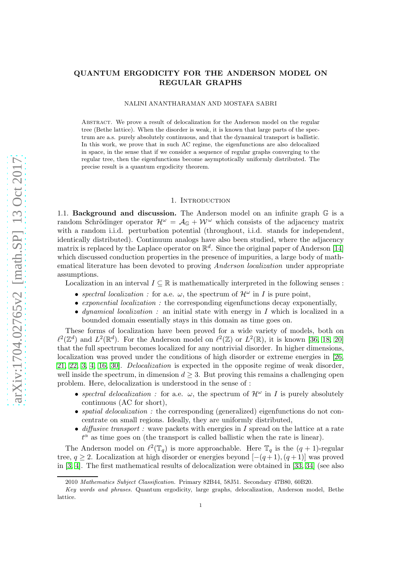## QUANTUM ERGODICITY FOR THE ANDERSON MODEL ON REGULAR GRAPHS

NALINI ANANTHARAMAN AND MOSTAFA SABRI

Abstract. We prove a result of delocalization for the Anderson model on the regular tree (Bethe lattice). When the disorder is weak, it is known that large parts of the spectrum are a.s. purely absolutely continuous, and that the dynamical transport is ballistic. In this work, we prove that in such AC regime, the eigenfunctions are also delocalized in space, in the sense that if we consider a sequence of regular graphs converging to the regular tree, then the eigenfunctions become asymptotically uniformly distributed. The precise result is a quantum ergodicity theorem.

## 1. INTRODUCTION

1.1. **Background and discussion.** The Anderson model on an infinite graph  $\mathbb{G}$  is a random Schrödinger operator  $\mathcal{H}^{\omega} = \mathcal{A}_{\mathbb{G}} + \mathcal{W}^{\omega}$  which consists of the adjacency matrix with a random i.i.d. perturbation potential (throughout, i.i.d. stands for independent, identically distributed). Continuum analogs have also been studied, where the adjacency matrix is replaced by the Laplace operator on  $\mathbb{R}^d$ . Since the original paper of Anderson [\[14\]](#page-9-0) which discussed conduction properties in the presence of impurities, a large body of mathematical literature has been devoted to proving *Anderson localization* under appropriate assumptions.

Localization in an interval  $I \subseteq \mathbb{R}$  is mathematically interpreted in the following senses :

- spectral localization : for a.e.  $\omega$ , the spectrum of  $\mathcal{H}^{\omega}$  in I is pure point,
- exponential localization : the corresponding eigenfunctions decay exponentially,
- dynamical localization : an initial state with energy in I which is localized in a bounded domain essentially stays in this domain as time goes on.

These forms of localization have been proved for a wide variety of models, both on  $\ell^2(\mathbb{Z}^d)$  and  $L^2(\mathbb{R}^d)$ . For the Anderson model on  $\ell^2(\mathbb{Z})$  or  $L^2(\mathbb{R})$ , it is known [\[36,](#page-9-1) [18,](#page-9-2) [20\]](#page-9-3) that the full spectrum becomes localized for any nontrivial disorder. In higher dimensions, localization was proved under the conditions of high disorder or extreme energies in [\[26,](#page-9-4) [21,](#page-9-5) [22,](#page-9-6) [3,](#page-8-0) [4,](#page-8-1) [16,](#page-9-7) [30\]](#page-9-8). Delocalization is expected in the opposite regime of weak disorder, well inside the spectrum, in dimension  $d \geq 3$ . But proving this remains a challenging open problem. Here, delocalization is understood in the sense of :

- spectral delocalization : for a.e.  $\omega$ , the spectrum of  $\mathcal{H}^{\omega}$  in I is purely absolutely continuous (AC for short),
- *spatial delocalization*: the corresponding (generalized) eigenfunctions do not concentrate on small regions. Ideally, they are uniformly distributed,
- diffusive transport : wave packets with energies in I spread on the lattice at a rate  $t^{\alpha}$  as time goes on (the transport is called ballistic when the rate is linear).

The Anderson model on  $\ell^2(\mathbb{T}_q)$  is more approachable. Here  $\mathbb{T}_q$  is the  $(q + 1)$ -regular tree,  $q \ge 2$ . Localization at high disorder or energies beyond  $[-(q+1),(q+1)]$  was proved in [\[3,](#page-8-0) [4\]](#page-8-1). The first mathematical results of delocalization were obtained in [\[33,](#page-9-9) [34\]](#page-9-10) (see also

<sup>2010</sup> Mathematics Subject Classification. Primary 82B44, 58J51. Secondary 47B80, 60B20.

Key words and phrases. Quantum ergodicity, large graphs, delocalization, Anderson model, Bethe lattice.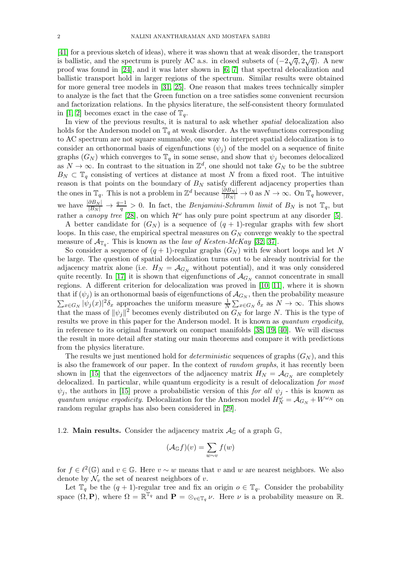[\[41\]](#page-9-11) for a previous sketch of ideas), where it was shown that at weak disorder, the transport is ballistic, and the spectrum is purely AC a.s. in closed subsets of  $(-2\sqrt{q}, 2\sqrt{q})$ . A new proof was found in [\[24\]](#page-9-12), and it was later shown in [\[6,](#page-8-2) [7\]](#page-8-3) that spectral delocalization and ballistic transport hold in larger regions of the spectrum. Similar results were obtained for more general tree models in [\[31,](#page-9-13) [25\]](#page-9-14). One reason that makes trees technically simpler to analyze is the fact that the Green function on a tree satisfies some convenient recursion and factorization relations. In the physics literature, the self-consistent theory formulated in [\[1,](#page-8-4) [2\]](#page-8-5) becomes exact in the case of  $\mathbb{T}_q$ .

In view of the previous results, it is natural to ask whether *spatial* delocalization also holds for the Anderson model on  $\mathbb{T}_q$  at weak disorder. As the wavefunctions corresponding to AC spectrum are not square summable, one way to interpret spatial delocalization is to consider an orthonormal basis of eigenfunctions  $(\psi_i)$  of the model on a sequence of finite graphs  $(G_N)$  which converges to  $\mathbb{T}_q$  in some sense, and show that  $\psi_j$  becomes delocalized as  $N \to \infty$ . In contrast to the situation in  $\mathbb{Z}^d$ , one should not take  $G_N$  to be the subtree  $B_N \subset \mathbb{T}_q$  consisting of vertices at distance at most N from a fixed root. The intuitive reason is that points on the boundary of  $B_N$  satisfy different adjacency properties than the ones in  $\mathbb{T}_q$ . This is not a problem in  $\mathbb{Z}^d$  because  $\frac{|\partial B_N|}{|B_N|} \to 0$  as  $N \to \infty$ . On  $\mathbb{T}_q$  however, we have  $\frac{|\partial B_N|}{|B_N|} \to \frac{q-1}{q} > 0$ . In fact, the *Benjamini-Schramm limit* of  $B_N$  is not  $\mathbb{T}_q$ , but rather a *canopy tree* [\[28\]](#page-9-15), on which  $\mathcal{H}^{\omega}$  has only pure point spectrum at any disorder [\[5\]](#page-8-6).

A better candidate for  $(G_N)$  is a sequence of  $(q + 1)$ -regular graphs with few short loops. In this case, the empirical spectral measures on  $G_N$  converge weakly to the spectral measure of  $\mathcal{A}_{\mathbb{T}_q}$ . This is known as the *law of Kesten-McKay* [\[32,](#page-9-16) [37\]](#page-9-17).

So consider a sequence of  $(q + 1)$ -regular graphs  $(G_N)$  with few short loops and let N be large. The question of spatial delocalization turns out to be already nontrivial for the adjacency matrix alone (i.e.  $H_N = \mathcal{A}_{G_N}$  without potential), and it was only considered quite recently. In [\[17\]](#page-9-18) it is shown that eigenfunctions of  $\mathcal{A}_{G_N}$  cannot concentrate in small regions. A different criterion for delocalization was proved in [\[10,](#page-9-19) [11\]](#page-9-20), where it is shown that if  $(\psi_j)$  is an orthonormal basis of eigenfunctions of  $\mathcal{A}_{G_N}$ , then the probability measure  $\sum_{x \in G_N} |\psi_j(x)|^2 \delta_x$  approaches the uniform measure  $\frac{1}{N} \sum_{x \in G_N} \delta_x$  as  $N \to \infty$ . This shows that the mass of  $\|\psi_j\|^2$  becomes evenly distributed on  $G_N$  for large N. This is the type of results we prove in this paper for the Anderson model. It is known as *quantum ergodicity*, in reference to its original framework on compact manifolds [\[38,](#page-9-21) [19,](#page-9-22) [40\]](#page-9-23). We will discuss the result in more detail after stating our main theorems and compare it with predictions from the physics literature.

The results we just mentioned hold for *deterministic* sequences of graphs  $(G_N)$ , and this is also the framework of our paper. In the context of *random graphs*, it has recently been shown in [\[15\]](#page-9-24) that the eigenvectors of the adjacency matrix  $H_N = \mathcal{A}_{G_N}$  are completely delocalized. In particular, while quantum ergodicity is a result of delocalization for most  $\psi_j$ , the authors in [\[15\]](#page-9-24) prove a probabilistic version of this for all  $\psi_j$  - this is known as quantum unique ergodicity. Delocalization for the Anderson model  $H_N^{\omega} = \mathcal{A}_{G_N} + W^{\omega_N}$  on random regular graphs has also been considered in [\[29\]](#page-9-25).

1.2. **Main results.** Consider the adjacency matrix  $\mathcal{A}_{\mathbb{G}}$  of a graph  $\mathbb{G}$ ,

$$
(\mathcal{A}_{\mathbb{G}}f)(v) = \sum_{w \sim v} f(w)
$$

for  $f \in \ell^2(\mathbb{G})$  and  $v \in \mathbb{G}$ . Here  $v \sim w$  means that v and w are nearest neighbors. We also denote by  $\mathcal{N}_v$  the set of nearest neighbors of v.

Let  $\mathbb{T}_q$  be the  $(q + 1)$ -regular tree and fix an origin  $o \in \mathbb{T}_q$ . Consider the probability space  $(\Omega, \mathbf{P})$ , where  $\Omega = \mathbb{R}^{\mathbb{T}_q}$  and  $\mathbf{P} = \otimes_{v \in \mathbb{T}_q} \nu$ . Here  $\nu$  is a probability measure on  $\mathbb{R}$ .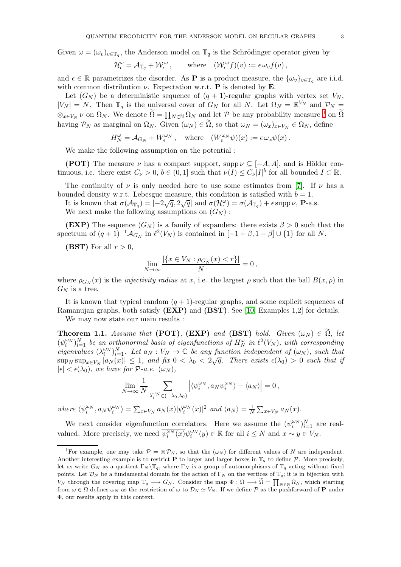Given  $\omega = (\omega_v)_{v \in \mathbb{T}_q}$ , the Anderson model on  $\mathbb{T}_q$  is the Schrödinger operator given by

$$
\mathcal{H}_{\epsilon}^{\omega} = \mathcal{A}_{\mathbb{T}_q} + \mathcal{W}_{\epsilon}^{\omega}, \quad \text{where} \quad (\mathcal{W}_{\epsilon}^{\omega} f)(v) := \epsilon \omega_v f(v),
$$

and  $\epsilon \in \mathbb{R}$  parametrizes the disorder. As **P** is a product measure, the  $\{\omega_v\}_{v \in \mathbb{T}_q}$  are i.i.d. with common distribution  $\nu$ . Expectation w.r.t. **P** is denoted by **E**.

Let  $(G_N)$  be a deterministic sequence of  $(q + 1)$ -regular graphs with vertex set  $V_N$ ,  $|V_N| = N$ . Then  $\mathbb{T}_q$  is the universal cover of  $G_N$  for all N. Let  $\Omega_N = \mathbb{R}^{V_N}$  and  $\mathcal{P}_N =$  $\otimes_{x\in V_N} \nu$  on  $\Omega_N$ . We denote  $\widetilde{\Omega} = \prod_{N\in\mathbb{N}} \Omega_N$  and let P be any probability measure <sup>[1](#page-2-0)</sup> on  $\widetilde{\Omega}$ having  $P_N$  as marginal on  $\Omega_N$ . Given  $(\omega_N) \in \Omega$ , so that  $\omega_N = (\omega_x)_{x \in V_N} \in \Omega_N$ , define

$$
H^\omega_N = \mathcal{A}_{G_N} + W^{\omega_N}_\epsilon\,, \quad \text{where} \quad (W^{\omega_N}_\epsilon \psi)(x) := \epsilon \,\omega_x \psi(x)\,.
$$

We make the following assumption on the potential :

(POT) The measure  $\nu$  has a compact support, supp  $\nu \subseteq [-A, A]$ , and is Hölder continuous, i.e. there exist  $C_{\nu} > 0$ ,  $b \in (0,1]$  such that  $\nu(I) \leq C_{\nu} |I|^{b}$  for all bounded  $I \subset \mathbb{R}$ .

The continuity of  $\nu$  is only needed here to use some estimates from [\[7\]](#page-8-3). If  $\nu$  has a bounded density w.r.t. Lebesgue measure, this condition is satisfied with  $b = 1$ .

It is known that  $\sigma(\mathcal{A}_{\mathbb{T}_q}) = [-2\sqrt{q}, 2\sqrt{q}]$  and  $\sigma(\mathcal{H}_{\epsilon}^{\omega}) = \sigma(\mathcal{A}_{\mathbb{T}_q}) + \epsilon \operatorname{supp} \nu$ , **P**-a.s. We next make the following assumptions on  $(G_N)$ :

**(EXP)** The sequence  $(G_N)$  is a family of expanders: there exists  $\beta > 0$  such that the spectrum of  $(q + 1)^{-1} A_{G_N}$  in  $\ell^2(V_N)$  is contained in  $[-1 + \beta, 1 - \beta] \cup \{1\}$  for all N.

(BST) For all  $r > 0$ ,

$$
\lim_{N \to \infty} \frac{|\{x \in V_N : \rho_{G_N}(x) < r\}|}{N} = 0,
$$

where  $\rho_{G_N}(x)$  is the *injectivity radius* at x, i.e. the largest  $\rho$  such that the ball  $B(x, \rho)$  in  $G_N$  is a tree.

It is known that typical random  $(q + 1)$ -regular graphs, and some explicit sequences of Ramanujan graphs, both satisfy (EXP) and (BST). See [\[10,](#page-9-19) Examples 1,2] for details.

We may now state our main results :

<span id="page-2-1"></span>**Theorem 1.1.** Assume that (POT), (EXP) and (BST) hold. Given  $(\omega_N) \in \Omega$ , let  $(\psi_i^{\omega_N})_{i=1}^N$  be an orthonormal basis of eigenfunctions of  $H_N^{\omega}$  in  $\ell^2(V_N)$ , with corresponding eigenvalues  $(\lambda_i^{\omega_N})_{i=1}^N$ . Let  $a_N : V_N \to \mathbb{C}$  be any function independent of  $(\omega_N)$ , such that  $\sup_N \sup_{x \in V_N} |a_N(x)| \leq 1$ , and fix  $0 < \lambda_0 < 2\sqrt{q}$ . There exists  $\epsilon(\lambda_0) > 0$  such that if  $|\epsilon| < \epsilon(\lambda_0)$ , we have for P-a.e.  $(\omega_N)$ ,

$$
\lim_{N \to \infty} \frac{1}{N} \sum_{\lambda_i^{\omega_N} \in (-\lambda_0, \lambda_0)} \left| \langle \psi_i^{\omega_N}, a_N \psi_i^{\omega_N} \rangle - \langle a_N \rangle \right| = 0,
$$

where  $\langle \psi_i^{\omega_N}, a_N \psi_i^{\omega_N} \rangle = \sum_{x \in V_N} a_N(x) |\psi_i^{\omega_N}(x)|^2$  and  $\langle a_N \rangle = \frac{1}{N}$  $\frac{1}{N} \sum_{x \in V_N} a_N(x)$ .

We next consider eigenfunction correlators. Here we assume the  $(\psi_i^{\omega_N})_{i=1}^N$  are realvalued. More precisely, we need  $\overline{\psi_i^{\omega_N}(x)}\psi_i^{\omega_N}(y) \in \mathbb{R}$  for all  $i \leq N$  and  $x \sim y \in V_N$ .

<span id="page-2-0"></span><sup>&</sup>lt;sup>1</sup>For example, one may take  $\mathcal{P} = \otimes \mathcal{P}_N$ , so that the  $(\omega_N)$  for different values of N are independent. Another interesting example is to restrict **P** to larger and larger boxes in  $\mathbb{T}_q$  to define P. More precisely, let us write  $G_N$  as a quotient  $\Gamma_N \backslash \mathbb{T}_q$ , where  $\Gamma_N$  is a group of automorphisms of  $\mathbb{T}_q$  acting without fixed points. Let  $\mathcal{D}_N$  be a fundamental domain for the action of  $\Gamma_N$  on the vertices of  $\mathbb{T}_q$ ; it is in bijection with  $V_N$  through the covering map  $\mathbb{T}_q \longrightarrow G_N$ . Consider the map  $\Phi : \Omega \longrightarrow \widetilde{\Omega} = \prod_{N \in \mathbb{N}} \Omega_N$ , which starting from  $\omega \in \Omega$  defines  $\omega_N$  as the restriction of  $\omega$  to  $\mathcal{D}_N \simeq V_N$ . If we define  $\mathcal P$  as the pushforward of **P** under Φ, our results apply in this context.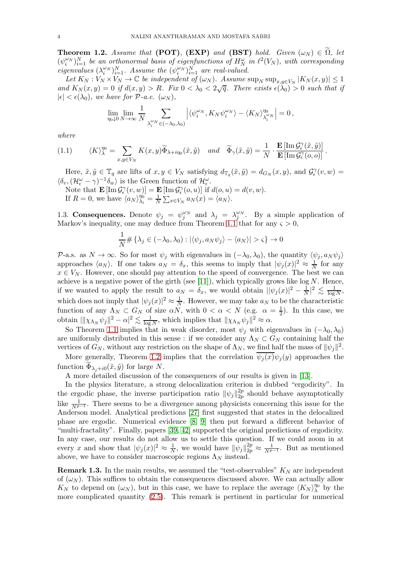<span id="page-3-0"></span>**Theorem 1.2.** Assume that (POT), (EXP) and (BST) hold. Given  $(\omega_N) \in \Omega$ , let  $(\psi_i^{\omega_N})_{i=1}^N$  be an orthonormal basis of eigenfunctions of  $H_N^{\omega}$  in  $\ell^2(V_N)$ , with corresponding eigenvalues  $(\lambda_i^{\omega_N})_{i=1}^N$ . Assume the  $(\psi_i^{\omega_N})_{i=1}^N$  are real-valued.

Let  $K_N: V_N \times V_N \to \mathbb{C}$  be independent of  $(\omega_N)$ . Assume  $\sup_N \sup_{x,y \in V_N} |K_N(x,y)| \leq 1$ and  $K_N(x,y) = 0$  if  $d(x,y) > R$ . Fix  $0 < \lambda_0 < 2\sqrt{q}$ . There exists  $\epsilon(\lambda_0) > 0$  such that if  $|\epsilon| < \epsilon(\lambda_0)$ , we have for P-a.e.  $(\omega_N)$ ,

$$
\lim_{\eta_0\downarrow 0}\lim_{N\to\infty}\frac{1}{N}\sum_{\lambda_i^{\omega_N}\in(-\lambda_0,\lambda_0)}\left|\langle \psi_i^{\omega_N},K_N\psi_i^{\omega_N}\rangle-\langle K_N\rangle_{\lambda_i^{\omega_N}}^{\eta_0}\right|=0\,,
$$

where

<span id="page-3-1"></span>(1.1) 
$$
\langle K \rangle_{\lambda}^{\eta_0} = \sum_{x,y \in V_N} K(x,y) \widetilde{\Phi}_{\lambda + i\eta_0}(\tilde{x},\tilde{y}) \quad and \quad \widetilde{\Phi}_{\gamma}(\tilde{x},\tilde{y}) = \frac{1}{N} \cdot \frac{\mathbf{E} [\operatorname{Im} \mathcal{G}_{\epsilon}^{\gamma}(\tilde{x},\tilde{y})]}{\mathbf{E} [\operatorname{Im} \mathcal{G}_{\epsilon}^{\gamma}(o,o)]}.
$$

Here,  $\tilde{x}, \tilde{y} \in \mathbb{T}_q$  are lifts of  $x, y \in V_N$  satisfying  $d_{\mathbb{T}_q}(\tilde{x}, \tilde{y}) = d_{G_N}(x, y)$ , and  $\mathcal{G}_\epsilon^{\gamma}(v, w) =$  $\langle \delta_v, (\mathcal{H}_\epsilon^\omega - \gamma)^{-1} \delta_w \rangle$  is the Green function of  $\mathcal{H}_\epsilon^\omega$ .

Note that  $\mathbf{E}[\text{Im}\,\mathcal{G}_{\epsilon}^{\gamma}(v,w)] = \mathbf{E}[\text{Im}\,\mathcal{G}_{\epsilon}^{\gamma}(o,u)]$  if  $d(o, u) = d(v, w)$ . If  $R = 0$ , we have  $\langle a_N \rangle_{\lambda_i}^{\eta_0}$  $\frac{\eta_0}{\lambda_i} = \frac{1}{N}$  $\frac{1}{N} \sum_{x \in V_N} a_N(x) = \langle a_N \rangle.$ 

1.3. Consequences. Denote  $\psi_j = \psi_j^{\omega_N}$  and  $\lambda_j = \lambda_j^{\omega_N}$ . By a simple application of Markov's inequality, one may deduce from Theorem [1.1](#page-2-1) that for any  $\varsigma > 0$ ,

$$
\frac{1}{N} \# \{\lambda_j \in (-\lambda_0, \lambda_0) : |\langle \psi_j, a_N \psi_j \rangle - \langle a_N \rangle| > \varsigma \} \to 0
$$

P-a.s. as  $N \to \infty$ . So for most  $\psi_j$  with eigenvalues in  $(-\lambda_0, \lambda_0)$ , the quantity  $\langle \psi_j, a_N \psi_j \rangle$ approaches  $\langle a_N \rangle$ . If one takes  $a_N = \delta_x$ , this seems to imply that  $|\psi_j(x)|^2 \approx \frac{1}{N}$  for any  $x \in V_N$ . However, one should pay attention to the speed of convergence. The best we can achieve is a negative power of the girth (see [\[11\]](#page-9-20)), which typically grows like  $log N$ . Hence, if we wanted to apply the result to  $a_N = \delta_x$ , we would obtain  $||\psi_j(x)|^2 - \frac{1}{N}$  $\frac{1}{N}$ |<sup>2</sup>  $\lesssim \frac{1}{\log}$  $\frac{1}{\log N},$ which does not imply that  $|\psi_j(x)|^2 \approx \frac{1}{N}$  $\frac{1}{N}$ . However, we may take  $a_N$  to be the characteristic function of any  $\Lambda_N \subset G_N$  of size  $\alpha N$ , with  $0 < \alpha < N$  (e.g.  $\alpha = \frac{1}{2}$ ). In this case, we obtain  $\|\chi_{\Lambda_N}\psi_j\|^2 - \alpha\|^2 \lesssim \frac{1}{\log \alpha}$  $\frac{1}{\log N}$ , which implies that  $\|\chi_{\Lambda_N}\psi_j\|^2 \approx \alpha$ .

So Theorem [1.1](#page-2-1) implies that in weak disorder, most  $\psi_i$  with eigenvalues in  $(-\lambda_0, \lambda_0)$ are uniformly distributed in this sense : if we consider any  $\Lambda_N \subset G_N$  containing half the vertices of  $G_N$ , without any restriction on the shape of  $\Lambda_N$ , we find half the mass of  $\|\psi_j\|^2$ .

More generally, Theorem [1.2](#page-3-0) implies that the correlation  $\overline{\psi_j(x)}\psi_j(y)$  approaches the function  $\Phi_{\lambda_j+i0}(\tilde{x}, \tilde{y})$  for large N.

A more detailed discussion of the consequences of our results is given in [\[13\]](#page-9-26).

In the physics literature, a strong delocalization criterion is dubbed "ergodicity". In the ergodic phase, the inverse participation ratio  $\|\psi_j\|_{2p}^{2p}$  $_{2p}^{2p}$  should behave asymptotically like  $\frac{1}{N^{p-1}}$ . There seems to be a divergence among physicists concerning this issue for the Anderson model. Analytical predictions [\[27\]](#page-9-27) first suggested that states in the delocalized phase are ergodic. Numerical evidence [\[8,](#page-8-7) [9\]](#page-9-28) then put forward a different behavior of "multi-fractality". Finally, papers [\[39,](#page-9-29) [42\]](#page-9-30) supported the original predictions of ergodicity. In any case, our results do not allow us to settle this question. If we could zoom in at every x and show that  $|\psi_j(x)|^2 \approx \frac{1}{N}$  $\frac{1}{N}$ , we would have  $\|\psi_j\|_{2p}^{2p} \approx \frac{1}{N^{p-1}}$ . But as mentioned above, we have to consider macroscopic regions  $\Lambda_N$  instead.

**Remark 1.3.** In the main results, we assumed the "test-observables"  $K_N$  are independent of  $(\omega_N)$ . This suffices to obtain the consequences discussed above. We can actually allow  $K_N$  to depend on  $(\omega_N)$ , but in this case, we have to replace the average  $\langle K_N \rangle_\lambda^{\eta_0}$  $\lambda^{''0}$  by the more complicated quantity [\(2.5\)](#page-7-0). This remark is pertinent in particular for numerical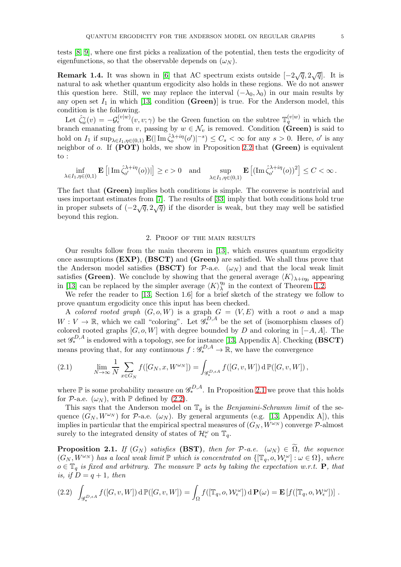tests [\[8,](#page-8-7) [9\]](#page-9-28), where one first picks a realization of the potential, then tests the ergodicity of eigenfunctions, so that the observable depends on  $(\omega_N)$ .

**Remark 1.4.** It was shown in [\[6\]](#page-8-2) that AC spectrum exists outside  $[-2\sqrt{q}, 2\sqrt{q}]$ . It is natural to ask whether quantum ergodicity also holds in these regions. We do not answer this question here. Still, we may replace the interval  $(-\lambda_0, \lambda_0)$  in our main results by any open set  $I_1$  in which [\[13,](#page-9-26) condition (Green)] is true. For the Anderson model, this condition is the following.

Let  $\hat{\zeta}_w^{\gamma}(v) = -\mathcal{G}_{\epsilon}^{(v|w)}(v,v;\gamma)$  be the Green function on the subtree  $\mathbb{T}_q^{(v|w)}$  in which the branch emanating from v, passing by  $w \in \mathcal{N}_v$  is removed. Condition (Green) is said to hold on  $I_1$  if  $\sup_{\lambda \in I_1, \eta \in (0,1)}$   $\mathbf{E}(|\operatorname{Im} \hat{\zeta}_o^{\lambda+i\eta}(o')|^{-s}) \leq C_s < \infty$  for any  $s > 0$ . Here, o' is any neighbor of  $o$ . If (POT) holds, we show in Proposition [2.2](#page-6-0) that (Green) is equivalent to :

$$
\inf_{\lambda\in I_1,\eta\in(0,1)}\mathbf{E}\left[|\operatorname{Im}\hat\zeta^{\lambda+i\eta}_{o'}(o))|\right]\geq c>0\quad\text{and}\quad\sup_{\lambda\in I_1,\eta\in(0,1)}\mathbf{E}\left[(\operatorname{Im}\hat\zeta^{\lambda+i\eta}_{o'}(o))^2\right]\leq C<\infty\,.
$$

The fact that (Green) implies both conditions is simple. The converse is nontrivial and uses important estimates from [\[7\]](#page-8-3). The results of [\[33\]](#page-9-9) imply that both conditions hold true in proper subsets of  $(-2\sqrt{q}, 2\sqrt{q})$  if the disorder is weak, but they may well be satisfied beyond this region.

## 2. Proof of the main results

Our results follow from the main theorem in [\[13\]](#page-9-26), which ensures quantum ergodicity once assumptions  $(EXP)$ ,  $(BSCI)$  and  $(Green)$  are satisfied. We shall thus prove that the Anderson model satisfies (BSCT) for  $P$ -a.e.  $(\omega_N)$  and that the local weak limit satisfies (Green). We conclude by showing that the general average  $\langle K \rangle_{\lambda+i\eta_0}$  appearing in [\[13\]](#page-9-26) can be replaced by the simpler average  $\langle K \rangle_\lambda^{\eta_0}$  $\frac{\eta_0}{\lambda}$  in the context of Theorem [1.2.](#page-3-0)

We refer the reader to [\[13,](#page-9-26) Section 1.6] for a brief sketch of the strategy we follow to prove quantum ergodicity once this input has been checked.

A colored rooted graph  $(G, o, W)$  is a graph  $G = (V, E)$  with a root o and a map  $W: V \to \mathbb{R}$ , which we call "coloring". Let  $\mathscr{G}_{*}^{D,A}$  be the set of (isomorphism classes of) colored rooted graphs  $[G, o, W]$  with degree bounded by D and coloring in  $[-A, A]$ . The set  $\mathscr{G}_{*}^{D,A}$  is endowed with a topology, see for instance [\[13,](#page-9-26) Appendix A]. Checking (BSCT) means proving that, for any continuous  $f: \mathscr{G}_{*}^{D,A} \to \mathbb{R}$ , we have the convergence

<span id="page-4-2"></span>(2.1) 
$$
\lim_{N \to \infty} \frac{1}{N} \sum_{x \in G_N} f([G_N, x, W^{\omega_N}]) = \int_{\mathscr{G}_*^{D, \epsilon A}} f([G, v, W]) d\mathbb{P}([G, v, W]),
$$

where  $\mathbb P$  is some probability measure on  $\mathscr{G}_{*}^{D,A}$ . In Proposition [2.1](#page-4-0) we prove that this holds for P-a.e.  $(\omega_N)$ , with P defined by [\(2.2\)](#page-4-1).

This says that the Anderson model on  $\mathbb{T}_q$  is the Benjamini-Schramm limit of the sequence  $(G_N, W^{\omega_N})$  for P-a.e.  $(\omega_N)$ . By general arguments (e.g. [\[13,](#page-9-26) Appendix A]), this implies in particular that the empirical spectral measures of  $(G_N, W^{\omega_N})$  converge P-almost surely to the integrated density of states of  $\mathcal{H}_{\epsilon}^{\omega}$  on  $\mathbb{T}_{q}$ .

<span id="page-4-0"></span>**Proposition 2.1.** If  $(G_N)$  satisfies (BST), then for  $P$ -a.e.  $(\omega_N) \in \Omega$ , the sequence  $(G_N, W^{\omega_N})$  has a local weak limit  $\mathbb P$  which is concentrated on  $\{[\mathbb T_q, o, \mathcal W^{\omega}_\epsilon] : \omega \in \Omega\}$ , where  $o \in \mathbb{T}_q$  is fixed and arbitrary. The measure  $\mathbb{P}$  acts by taking the expectation w.r.t. **P**, that is, if  $D = q + 1$ , then

<span id="page-4-1"></span>
$$
(2.2) \quad \int_{\mathscr{G}_{*}^{D,\epsilon A}} f([G,v,W]) \, d\,\mathbb{P}([G,v,W]) = \int_{\Omega} f([\mathbb{T}_{q}, o, \mathcal{W}_{\epsilon}^{\omega}]) \, d\,\mathbf{P}(\omega) = \mathbf{E}\left[f([\mathbb{T}_{q}, o, \mathcal{W}_{\epsilon}^{\omega}])\right].
$$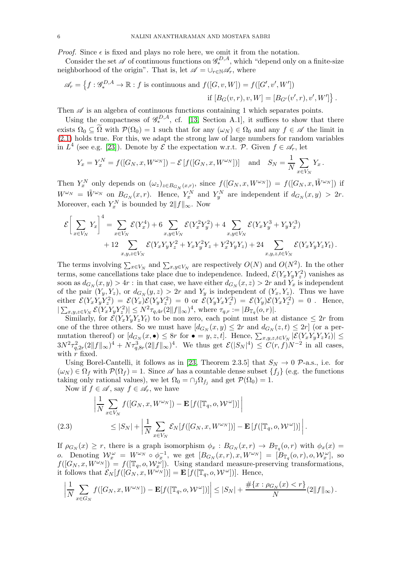*Proof.* Since  $\epsilon$  is fixed and plays no role here, we omit it from the notation.

Consider the set  $\mathscr A$  of continuous functions on  $\mathscr G_*^{D,A}$ , which "depend only on a finite-size neighborhood of the origin". That is, let  $\mathscr{A} = \cup_{r \in \mathbb{N}} \mathscr{A}_r$ , where

$$
\mathscr{A}_r = \left\{ f : \mathscr{G}^{D,A}_* \to \mathbb{R} : f \text{ is continuous and } f([G,v,W]) = f([G',v',W'])
$$
  
if  $[B_G(v,r), v, W] = [B_{G'}(v',r), v', W'] \right\}.$ 

Then  $\mathscr A$  is an algebra of continuous functions containing 1 which separates points.

Using the compactness of  $\mathscr{G}_{*}^{D,A}$ , cf. [\[13,](#page-9-26) Section A.1], it suffices to show that there exists  $\Omega_0 \subseteq \tilde{\Omega}$  with  $\mathcal{P}(\Omega_0) = 1$  such that for any  $(\omega_N) \in \Omega_0$  and any  $f \in \mathscr{A}$  the limit in [\(2.1\)](#page-4-2) holds true. For this, we adapt the strong law of large numbers for random variables in  $L^4$  (see e.g. [\[23\]](#page-9-31)). Denote by  $\mathcal E$  the expectation w.r.t.  $\mathcal P$ . Given  $f \in \mathscr A_r$ , let

$$
Y_x = Y_x^N = f([G_N, x, W^{\omega_N}]) - \mathcal{E}[f([G_N, x, W^{\omega_N}])] \text{ and } S_N = \frac{1}{N} \sum_{x \in V_N} Y_x.
$$

Then  $Y_x^N$  only depends on  $(\omega_z)_{z \in B_{G_N}(x,r)}$ , since  $f([G_N, x, W^{\omega_N}]) = f([G_N, x, \tilde{W}^{\omega_N}])$  if  $W^{\omega_N} = \tilde{W}^{\omega_N}$  on  $B_{G_N}(x,r)$ . Hence,  $Y_x^N$  and  $Y_y^N$  are independent if  $d_{G_N}(x,y) > 2r$ . Moreover, each  $Y_x^N$  is bounded by  $2||f||_{\infty}$ . Now

$$
\mathcal{E}\left[\sum_{x\in V_N} Y_x\right]^4 = \sum_{x\in V_N} \mathcal{E}(Y_x^4) + 6 \sum_{x,y\in V_N} \mathcal{E}(Y_x^2 Y_y^2) + 4 \sum_{x,y\in V_N} \mathcal{E}(Y_x Y_y^3 + Y_y Y_x^3) + 12 \sum_{x,y,z\in V_N} \mathcal{E}(Y_x Y_y Y_z^2 + Y_x Y_y^2 Y_z + Y_x^2 Y_y Y_z) + 24 \sum_{x,y,z,t\in V_N} \mathcal{E}(Y_x Y_y Y_z Y_t).
$$

The terms involving  $\sum_{x\in V_N}$  and  $\sum_{x,y\in V_N}$  are respectively  $O(N)$  and  $O(N^2)$ . In the other terms, some cancellations take place due to independence. Indeed,  $\mathcal{E}(Y_x Y_y Y_z^2)$  vanishes as soon as  $d_{G_N}(x, y) > 4r$ : in that case, we have either  $d_{G_N}(x, z) > 2r$  and  $Y_x$  is independent of the pair  $(Y_y, Y_z)$ , or  $d_{G_N}(y, z) > 2r$  and  $Y_y$  is independent of  $(Y_x, Y_z)$ . Thus we have either  $\mathcal{E}(Y_x Y_y Y_z^2) = \mathcal{E}(Y_x) \mathcal{E}(Y_y Y_z^2) = 0$  or  $\mathcal{E}(Y_y Y_x Y_z^2) = \mathcal{E}(Y_y) \mathcal{E}(Y_x Y_z^2) = 0$ . Hence,  $|\sum_{x,y,z\in V_N} \mathcal{E}(Y_x Y_y Y_z^2)| \leq N^2 \tau_{q,4r}(2||f||_{\infty})^4$ , where  $\tau_{q,r} := |B_{\mathbb{T}_q}(o,r)|$ .

Similarly, for  $\mathcal{E}(Y_x Y_y Y_z Y_t)$  to be non zero, each point must be at distance  $\leq 2r$  from one of the three others. So we must have  $[d_{G_N}(x, y)] \leq 2r$  and  $d_{G_N}(z, t) \leq 2r$  (or a permutation thereof) or  $[d_{G_N}(x, \bullet) \leq 8r$  for  $\bullet = y, z, t]$ . Hence,  $\sum_{x,y,z,t \in V_N} |\mathcal{E}(Y_x Y_y Y_z Y_t)| \leq$  $3N^2\tau_{q,2r}^2(2||f||_{\infty})^4 + N\tau_{q,8r}^3(2||f||_{\infty})^4$ . We thus get  $\mathcal{E}(|S_N|^4) \leq C(r,f)N^{-2}$  in all cases, with  $r$  fixed.

Using Borel-Cantelli, it follows as in [\[23,](#page-9-31) Theorem 2.3.5] that  $S_N \to 0$  P-a.s., i.e. for  $(\omega_N) \in \Omega_f$  with  $\mathcal{P}(\Omega_f) = 1$ . Since  $\mathscr A$  has a countable dense subset  $\{f_i\}$  (e.g. the functions taking only rational values), we let  $\Omega_0 = \cap_j \Omega_{f_j}$  and get  $\mathcal{P}(\Omega_0) = 1$ .

Now if  $f \in \mathscr{A}$ , say  $f \in \mathscr{A}_r$ , we have

$$
\left| \frac{1}{N} \sum_{x \in V_N} f([G_N, x, W^{\omega_N}]) - \mathbf{E} \left[ f([\mathbb{T}_q, o, \mathcal{W}^{\omega}]) \right] \right|
$$
  
(2.3)  

$$
\leq |S_N| + \left| \frac{1}{N} \sum_{x \in V_N} \mathcal{E}_N[f([G_N, x, W^{\omega_N}])] - \mathbf{E} \left[ f([\mathbb{T}_q, o, \mathcal{W}^{\omega}]) \right] \right|.
$$

<span id="page-5-0"></span>If  $\rho_{G_N}(x) \ge r$ , there is a graph isomorphism  $\phi_x : B_{G_N}(x,r) \to B_{\mathbb{T}_q}(o,r)$  with  $\phi_x(x) =$ o. Denoting  $W_x^{\omega} = W^{\omega_N} \circ \phi_x^{-1}$ , we get  $[B_{G_N}(x,r), x, W^{\omega_N}] = [B_{\mathbb{T}_q}(o,r), o, \mathcal{W}_x^{\omega}],$  so  $f([G_N, x, W^{\omega_N}]) = f([\mathbb{T}_q, o, \mathcal{W}_x^{\omega}])$ . Using standard measure-preserving transformations, it follows that  $\mathcal{E}_N[f([\tilde{G}_N, x, W^{\tilde{\omega}_N}])] = \mathbf{E}[f([\mathbb{T}_q, o, W^{\omega}])]$ . Hence,

$$
\left| \frac{1}{N} \sum_{x \in G_N} f([G_N, x, W^{\omega_N}]) - \mathbf{E}[f([\mathbb{T}_q, o, W^{\omega}])] \right| \leq |S_N| + \frac{\#\{x : \rho_{G_N}(x) < r\}}{N} (2\|f\|_{\infty}) \, .
$$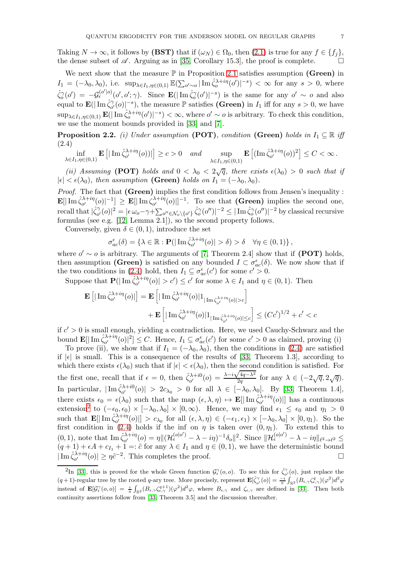Taking  $N \to \infty$ , it follows by (BST) that if  $(\omega_N) \in \Omega_0$ , then  $(2.1)$  is true for any  $f \in \{f_i\}$ , the dense subset of  $\mathscr A$ . Arguing as in [\[35,](#page-9-32) Corollary 15.3], the proof is complete.

We next show that the measure  $\mathbb P$  in Proposition [2.1](#page-4-0) satisfies assumption (Green) in  $I_1 = (-\lambda_0, \lambda_0)$ , i.e.  $\sup_{\lambda \in I_1, \eta \in (0,1)} \mathbb{E}(\sum_{o' \sim o} |\operatorname{Im} \hat{\zeta}_o^{\lambda + i\eta}(o')|^{-s}) < \infty$  for any  $s > 0$ , where  $\hat{\zeta}_{o}^{\gamma}(o') = -\mathcal{G}_{\epsilon}^{(o'|o)}(o', o'; \gamma)$ . Since  $\mathbf{E}(|\operatorname{Im} \hat{\zeta}_{o}^{\gamma}(o')|^{-s})$  is the same for any  $o' \sim o$  and also equal to  $\mathbf{E}(|\operatorname{Im} \hat{\zeta}_{o'}^{\gamma}|)$  $\hat{C}_{\alpha'}^{\gamma}(o)|^{-s}$ , the measure  $\mathbb P$  satisfies (Green) in  $I_1$  iff for any  $s > 0$ , we have  $\sup_{\lambda \in I_1, \eta \in (0,1)} \mathbf{E}(|\operatorname{Im} \hat{\zeta}_o^{\lambda+i\eta}(o')|^{-s}) < \infty$ , where  $o' \sim o$  is arbitrary. To check this condition, we use the moment bounds provided in [\[33\]](#page-9-9) and [\[7\]](#page-8-3).

<span id="page-6-0"></span>**Proposition 2.2.** (i) Under assumption (POT), condition (Green) holds in  $I_1 \subseteq \mathbb{R}$  iff (2.4)

<span id="page-6-1"></span>
$$
\inf_{\lambda \in I_1, \eta \in (0,1)} \mathbf{E}\left[|\operatorname{Im} \hat{\zeta}_{o'}^{\lambda+i\eta}(o))|\right] \ge c > 0 \quad and \quad \sup_{\lambda \in I_1, \eta \in (0,1)} \mathbf{E}\left[ (\operatorname{Im} \hat{\zeta}_{o'}^{\lambda+i\eta}(o))^2\right] \le C < \infty.
$$

(ii) Assuming (POT) holds and  $0 < \lambda_0 < 2\sqrt{q}$ , there exists  $\epsilon(\lambda_0) > 0$  such that if  $|\epsilon| < \epsilon(\lambda_0)$ , then assumption (Green) holds on  $I_1 = (-\lambda_0, \lambda_0)$ .

Proof. The fact that (Green) implies the first condition follows from Jensen's inequality :  $\mathbf{E}[\vert\operatorname{Im}\hat{\zeta}_{o'}^{\lambda+i\eta}$  $\int_{o'}^{\lambda+i\eta}\!\!(o)|^{-1}]\,\geq\,\mathbf{E}[|\mathop{\mathrm{Im}}\nolimits\zeta_{o'}^{\lambda+i\eta}]$  $\int_{\alpha'}^{\lambda+i\eta}(\rho)|^{-1}$ . To see that (Green) implies the second one, recall that  $|\hat{\zeta}^{\gamma}_{o'}|$  $|\hat{C}_{o'}^{\gamma}(o)|^2 = |\epsilon \omega_o - \gamma + \sum_{o'' \in \mathcal{N}_o \setminus \{o'\}} \hat{\zeta}_{o}^{\gamma}(o'')|^{-2} \le |\text{Im}\,\hat{\zeta}_{o}^{\gamma}(o'')|^{-2}$  by classical recursive formulas (see e.g. [\[12,](#page-9-33) Lemma 2.1]), so the second property follows.

Conversely, given  $\delta \in (0,1)$ , introduce the set

$$
\sigma_{ac}^{\epsilon}(\delta) = \left\{ \lambda \in \mathbb{R} : \mathbf{P}(|\operatorname{Im} \hat{\zeta}_{o'}^{\lambda + i\eta}(o)| > \delta \right) > \delta \quad \forall \eta \in (0,1) \right\},\
$$

where  $o' \sim o$  is arbitrary. The arguments of [\[7,](#page-8-3) Theorem 2.4] show that if (POT) holds, then assumption (Green) is satisfied on any bounded  $I \subset \sigma_{ac}^{\epsilon}(\delta)$ . We now show that if the two conditions in [\(2.4\)](#page-6-1) hold, then  $I_1 \subseteq \sigma_{ac}^{\epsilon}(c')$  for some  $c' > 0$ .

Suppose that  $\mathbf{P}(|\operatorname{Im} \hat{\zeta}_{o'}^{\lambda+i\eta}$  $|\lambda + i\eta(\rho)| > c'$   $\leq c'$  for some  $\lambda \in I_1$  and  $\eta \in (0, 1)$ . Then

$$
\mathbf{E}\left[\left|\operatorname{Im}\hat{\zeta}_{o'}^{\lambda+i\eta}(o)\right|\right] = \mathbf{E}\left[\left|\operatorname{Im}\hat{\zeta}_{o'}^{\lambda+i\eta}(o)\right|\mathbf{1}_{|\operatorname{Im}\zeta_{o'}^{\lambda+i\eta}(o)|>c}\right] + \mathbf{E}\left[\left|\operatorname{Im}\hat{\zeta}_{o'}^{\lambda+i\eta}(o)\right|\mathbf{1}_{|\operatorname{Im}\hat{\zeta}_{o'}^{\lambda+i\eta}(o)|\leq c}\right] \leq (Cc')^{1/2} + c' < c
$$

if  $c' > 0$  is small enough, yielding a contradiction. Here, we used Cauchy-Schwarz and the bound  $\mathbf{E}[\mid \text{Im}\,\hat{\zeta}_{o'}^{\lambda+i\eta}]$  $\left[\begin{array}{c}\n\lambda+i\eta(o)|^2\end{array}\right] \leq C.$  Hence,  $I_1 \subseteq \sigma_{ac}^{\epsilon}(c')$  for some  $c' > 0$  as claimed, proving (i)

To prove (ii), we show that if  $I_1 = (-\lambda_0, \lambda_0)$ , then the conditions in [\(2.4\)](#page-6-1) are satisfied if  $|\epsilon|$  is small. This is a consequence of the results of [\[33,](#page-9-9) Theorem 1.3], according to which there exists  $\epsilon(\lambda_0)$  such that if  $|\epsilon| < \epsilon(\lambda_0)$ , then the second condition is satisfied. For the first one, recall that if  $\epsilon = 0$ , then  $\hat{\zeta}_{0'}^{\lambda + i0}$  $\frac{\partial}{\partial \alpha}$ <sup>2</sup> (o) =  $\frac{\lambda - i\sqrt{4q-\lambda^2}}{2q}$  $\frac{\sqrt{4q-\lambda^2}}{2q}$  for any  $\lambda \in (-2\sqrt{q}, 2\sqrt{q}).$ In particular,  $|\operatorname{Im} \hat{\zeta}_{o'}^{\lambda+i0}$  $\lambda_0^{\lambda+i0}(\rho)$  >  $2c_{\lambda_0}$  > 0 for all  $\lambda \in [-\lambda_0, \lambda_0]$ . By [\[33,](#page-9-9) Theorem 1.4], there exists  $\epsilon_0 = \epsilon(\lambda_0)$  such that the map  $(\epsilon, \lambda, \eta) \mapsto \mathbf{E}[\mid \text{Im} \hat{\zeta}_{o'}^{\lambda+i\eta}]$  $\begin{bmatrix} \partial^{+i\eta} (\rho) \end{bmatrix}$  has a continuous extension<sup>[2](#page-6-2)</sup> to  $(-\epsilon_0, \epsilon_0) \times [-\lambda_0, \lambda_0] \times [0, \infty)$ . Hence, we may find  $\epsilon_1 \leq \epsilon_0$  and  $\eta_1 > 0$ such that  $\mathbf{E}[\mid \text{Im} \hat{\zeta}_{o'}^{\lambda+i\eta}]$  $\begin{array}{c}\n\alpha_{t} \Delta_{t} \sim \left[\n\alpha_{t} \right]\n\alpha_{t} \sim \left[\n\alpha_{t} \right]\n\alpha_{t} \sim \left[\n\alpha_{t} \Delta_{t} \right]\n\alpha_{t} \sim \left[\n\alpha_{t} \Delta_{t} \right]\n\alpha_{t} \sim \left[\n\alpha_{t} \Delta_{t} \right]\n\alpha_{t} \sim \left[\n\alpha_{t} \Delta_{t} \right]\n\alpha_{t} \sim \left[\n\alpha_{t} \Delta_{t} \right]\n\alpha_{t} \sim \left[\n\alpha_{t} \Delta_{t} \right]\n\alpha_{t} \sim \left[\n\alpha_{t} \$ first condition in [\(2.4\)](#page-6-1) holds if the inf on  $\eta$  is taken over  $(0, \eta_1)$ . To extend this to  $(0, 1)$ , note that Im  $\hat{\zeta}_{q'}^{\lambda+i\eta}$  $\frac{\partial \lambda + i\eta}{\partial \sigma'}(o) = \eta \| (\mathcal{H}_{\epsilon}^{(o|o')} - \lambda - i\eta)^{-1} \delta_o \|^2$ . Since  $\|\mathcal{H}_{\epsilon}^{(o|o')} - \lambda - i\eta \|_{\ell^2 \to \ell^2} \leq$  $(q+1)+\epsilon A+c_{I_1}+1=:\tilde{c}$  for any  $\lambda\in I_1$  and  $\eta\in(0,1)$ , we have the deterministic bound  $|\operatorname{Im}\hat{\zeta}_{o'}^{\lambda+i\eta}$  $\left|\frac{\lambda + i\eta}{\rho'}(0)\right| \geq \eta \tilde{c}^{-2}$ . This completes the proof.

<span id="page-6-2"></span><sup>&</sup>lt;sup>2</sup>In [\[33\]](#page-9-9), this is proved for the whole Green function  $\mathcal{G}_{\epsilon}^{\gamma}(o,o)$ . To see this for  $\hat{\zeta}_{o'}^{\gamma}(o)$ , just replace the  $(q+1)$ -regular tree by the rooted q-ary tree. More precisely, represent  $\mathbf{E}[\hat{\zeta}_{o'}^{\gamma}(o)] = \frac{-i}{\pi} \int_{\mathbb{R}^2} (B_{\epsilon,\gamma} \zeta_{\epsilon,\gamma}^q)(\varphi^2) d^2\varphi$ instead of  $\mathbf{E}[\mathcal{G}_{\epsilon}^{\gamma}(\rho, o)] = \frac{i}{\pi} \int_{\mathbb{R}^2} (B_{\epsilon, \gamma} \zeta_{\epsilon, \gamma}^{q+1}) (\varphi^2) d^2 \varphi$ , where  $B_{\epsilon, \gamma}$  and  $\zeta_{\epsilon, \gamma}$  are defined in [\[33\]](#page-9-9). Then both continuity assertions follow from [\[33,](#page-9-9) Theorem 3.5] and the discussion thereafter.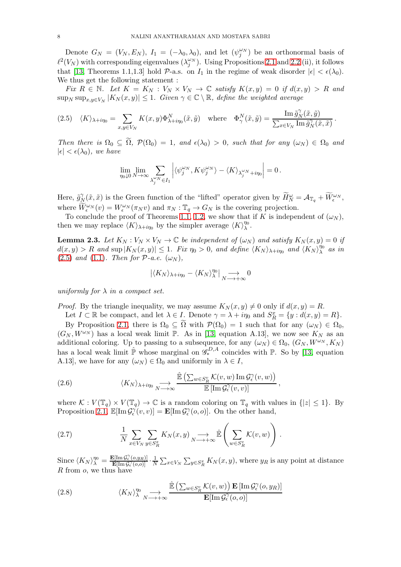Denote  $G_N = (V_N, E_N)$ ,  $I_1 = (-\lambda_0, \lambda_0)$ , and let  $(\psi_j^{\omega_N})$  be an orthonormal basis of  $\ell^2(V_N)$  with corresponding eigenvalues  $(\lambda_j^{\omega_N})$ . Using Propositions [2.1](#page-4-0) and [2.2](#page-6-0) (ii), it follows that [\[13,](#page-9-26) Theorems 1.1,1.3] hold P-a.s. on  $I_1$  in the regime of weak disorder  $|\epsilon| < \epsilon(\lambda_0)$ . We thus get the following statement :

Fix  $R \in \mathbb{N}$ . Let  $K = K_N : V_N \times V_N \to \mathbb{C}$  satisfy  $K(x, y) = 0$  if  $d(x, y) > R$  and  $\sup_N \sup_{x,y \in V_N} |K_N(x,y)| \leq 1$ . Given  $\gamma \in \mathbb{C} \setminus \mathbb{R}$ , define the weighted average

<span id="page-7-0"></span>
$$
(2.5) \quad \langle K \rangle_{\lambda + i\eta_0} = \sum_{x,y \in V_N} K(x,y) \Phi_{\lambda + i\eta_0}^N(\tilde{x},\tilde{y}) \quad \text{where} \quad \Phi_{\gamma}^N(\tilde{x},\tilde{y}) = \frac{\text{Im } \tilde{g}_N^{\gamma}(\tilde{x},\tilde{y})}{\sum_{x \in V_N} \text{Im } \tilde{g}_N^{\gamma}(\tilde{x},\tilde{x})}.
$$

Then there is  $\Omega_0 \subseteq \Omega$ ,  $\mathcal{P}(\Omega_0) = 1$ , and  $\epsilon(\lambda_0) > 0$ , such that for any  $(\omega_N) \in \Omega_0$  and  $|\epsilon| < \epsilon(\lambda_0)$ , we have

$$
\lim_{\eta_0\downarrow 0}\lim_{N\to\infty}\sum_{\lambda_j^{\omega_N}\in I_1}\left|\langle\psi_j^{\omega_N},K\psi_j^{\omega_N}\rangle-\langle K\rangle_{\lambda_j^{\omega_N}+i\eta_0}\right|=0\,.
$$

Here,  $\tilde{g}_{N}^{\gamma}(\tilde{x},\tilde{x})$  is the Green function of the "lifted" operator given by  $\widetilde{H}_{N}^{\omega} = A_{\mathbb{T}_{q}} + \widetilde{W}_{\epsilon}^{\omega_{N}},$ where  $\widetilde{W}_{\epsilon}^{\omega_N}(v) = W_{\epsilon}^{\omega_N}(\pi_N v)$  and  $\pi_N : \mathbb{T}_q \to G_N$  is the covering projection.

To conclude the proof of Theorems [1.1,](#page-2-1) [1.2,](#page-3-0) we show that if K is independent of  $(\omega_N)$ , then we may replace  $\langle K \rangle_{\lambda+i\eta_0}$  by the simpler average  $\langle K \rangle^{\eta_0}_{\lambda}$  $\frac{\eta_0}{\lambda}$ .

**Lemma 2.3.** Let  $K_N : V_N \times V_N \to \mathbb{C}$  be independent of  $(\omega_N)$  and satisfy  $K_N(x, y) = 0$  if  $d(x,y) > R$  and sup  $|K_N(x,y)| \leq 1$ . Fix  $\eta_0 > 0$ , and define  $\langle K_N \rangle_{\lambda+i\eta_0}$  and  $\langle K_N \rangle_{\lambda}^{i\eta_0}$  $\lambda^{ \eta_0}$  as in [\(2.5\)](#page-7-0) and [\(1.1\)](#page-3-1). Then for  $P$ -a.e.  $(\omega_N)$ ,

$$
|\langle K_N\rangle_{\lambda+i\eta_0}-\langle K_N\rangle_{\lambda}^{\eta_0}|\underset{N\longrightarrow+\infty}{\longrightarrow}0
$$

uniformly for  $\lambda$  in a compact set.

*Proof.* By the triangle inequality, we may assume  $K_N(x, y) \neq 0$  only if  $d(x, y) = R$ .

Let  $I \subset \mathbb{R}$  be compact, and let  $\lambda \in I$ . Denote  $\gamma = \lambda + i\eta_0$  and  $S_R^x = \{y : d(x, y) = R\}$ . By Proposition [2.1,](#page-4-0) there is  $\Omega_0 \subseteq \Omega$  with  $\mathcal{P}(\Omega_0) = 1$  such that for any  $(\omega_N) \in \Omega_0$ ,  $(G_N, W^{\omega_N})$  has a local weak limit P. As in [\[13,](#page-9-26) equation A.13], we now see  $K_N$  as an additional coloring. Up to passing to a subsequence, for any  $(\omega_N) \in \Omega_0$ ,  $(G_N, W^{\omega_N}, K_N)$ has a local weak limit  $\hat{\mathbb{P}}$  whose marginal on  $\mathscr{G}_{*}^{D,A}$  coincides with  $\mathbb{P}$ . So by [\[13,](#page-9-26) equation A.13], we have for any  $(\omega_N) \in \Omega_0$  and uniformly in  $\lambda \in I$ ,

<span id="page-7-1"></span>(2.6) 
$$
\langle K_N \rangle_{\lambda + i\eta_0} \underset{N \longrightarrow \infty}{\longrightarrow} \frac{\hat{\mathbb{E}}\left(\sum_{w \in S_R^v} \mathcal{K}(v, w) \operatorname{Im} \mathcal{G}_{\epsilon}^{\gamma}(v, w)\right)}{\mathbb{E}\left[\operatorname{Im} \mathcal{G}_{\epsilon}^{\gamma}(v, v)\right]},
$$

where  $\mathcal{K}: V(\mathbb{T}_q) \times V(\mathbb{T}_q) \to \mathbb{C}$  is a random coloring on  $\mathbb{T}_q$  with values in  $\{|z| \leq 1\}$ . By Proposition [2.1,](#page-4-0)  $\mathbb{E}[\text{Im}\,\mathcal{G}_\epsilon^\gamma(v,v)] = \mathbf{E}[\text{Im}\,\mathcal{G}_\epsilon^\gamma(o,o)]$ . On the other hand,

<span id="page-7-3"></span>(2.7) 
$$
\frac{1}{N} \sum_{x \in V_N} \sum_{y \in S_R^x} K_N(x, y) \longrightarrow_{N \to +\infty} \hat{\mathbb{E}} \left( \sum_{w \in S_R^v} \mathcal{K}(v, w) \right).
$$

Since  $\langle K_N \rangle_{\lambda}^{\eta_0} = \frac{\mathbf{E}[\text{Im}\mathcal{G}_{\epsilon}^{\gamma}(o,y_R)]}{\mathbf{E}[\text{Im}\mathcal{G}_{\epsilon}^{\gamma}(o,o)]} \cdot \frac{1}{N}$  $\frac{1}{N} \sum_{x \in V_N} \sum_{y \in S_R^x} K_N(x, y)$ , where  $y_R$  is any point at distance  $R$  from  $o$ , we thus have

<span id="page-7-2"></span>(2.8) 
$$
\langle K_N \rangle^{\eta_0}_{\lambda} \longrightarrow \sum_{N \longrightarrow +\infty} \frac{\hat{\mathbb{E}}\left(\sum_{w \in S_R^v} \mathcal{K}(v, w)\right) \mathbf{E}\left[\text{Im}\,\mathcal{G}_{\epsilon}^{\gamma}(o, y_R)\right]}{\mathbf{E}[\text{Im}\,\mathcal{G}_{\epsilon}^{\gamma}(o, o)]}
$$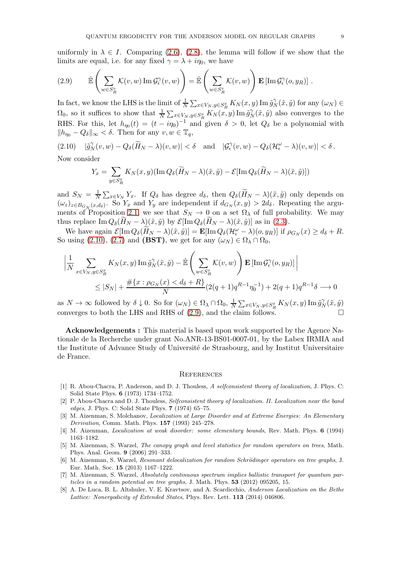uniformly in  $\lambda \in I$ . Comparing [\(2.6\)](#page-7-1), [\(2.8\)](#page-7-2), the lemma will follow if we show that the limits are equal, i.e. for any fixed  $\gamma = \lambda + i\eta_0$ , we have

<span id="page-8-9"></span>(2.9) 
$$
\hat{\mathbb{E}}\left(\sum_{w\in S_R^v} \mathcal{K}(v, w) \operatorname{Im} \mathcal{G}_{\epsilon}^{\gamma}(v, w)\right) = \hat{\mathbb{E}}\left(\sum_{w\in S_R^v} \mathcal{K}(v, w)\right) \mathbf{E}\left[\operatorname{Im} \mathcal{G}_{\epsilon}^{\gamma}(o, y_R)\right].
$$

In fact, we know the LHS is the limit of  $\frac{1}{N} \sum_{x \in V_N, y \in S_R^x} K_N(x, y) \operatorname{Im} \tilde{g}_N^{\gamma}(\tilde{x}, \tilde{y})$  for any  $(\omega_N) \in$  $\Omega_0$ , so it suffices to show that  $\frac{1}{N} \sum_{x \in V_N, y \in S_R^x} K_N(x, y) \operatorname{Im} \tilde{g}_N^{\gamma}(\tilde{x}, \tilde{y})$  also converges to the RHS. For this, let  $h_{\eta_0}(t) = (t - i\eta_0)^{-1}$  and given  $\delta > 0$ , let  $Q_{\delta}$  be a polynomial with  $||h_{\eta_0} - Q_\delta||_{\infty} < \delta$ . Then for any  $v, w \in \mathbb{T}_q$ ,

 $(2.10) \quad |\tilde{g}_N^{\gamma}(v,w)-Q_{\delta}(\widetilde{H}_N-\lambda)(v,w)| < \delta \quad \text{and} \quad |\mathcal{G}_{\epsilon}^{\gamma}(v,w)-Q_{\delta}(\mathcal{H}_{\epsilon}^{\omega}-\lambda)(v,w)| < \delta.$ 

Now consider

<span id="page-8-8"></span>
$$
Y_x = \sum_{y \in S_R^x} K_N(x, y) (\text{Im } Q_\delta(\widetilde{H}_N - \lambda)(\tilde{x}, \tilde{y}) - \mathcal{E}[\text{Im } Q_\delta(\widetilde{H}_N - \lambda)(\tilde{x}, \tilde{y})])
$$

and  $S_N = \frac{1}{N}$  $\frac{1}{N} \sum_{x \in V_N} Y_x$ . If  $Q_\delta$  has degree  $d_\delta$ , then  $Q_\delta(H_N - \lambda)(\tilde{x}, \tilde{y})$  only depends on  $(\omega_z)_{z \in B_{G_N}(x,d_\delta)}$ . So  $Y_x$  and  $Y_y$  are independent if  $d_{G_N}(x,y) > 2d_\delta$ . Repeating the argu-ments of Proposition [2.1,](#page-4-0) we see that  $S_N \to 0$  on a set  $\Omega_\lambda$  of full probability. We may thus replace  $\text{Im }Q_{\delta}(H_N - \lambda)(\tilde{x}, \tilde{y})$  by  $\mathcal{E}[\text{Im }Q_{\delta}(H_N - \lambda)(\tilde{x}, \tilde{y})]$  as in [\(2.3\)](#page-5-0).

We have again  $\mathcal{E}[\text{Im }Q_{\delta}(\widetilde{H}_N-\lambda)(\tilde{x},\tilde{y})]=\mathbf{E}[\text{Im }Q_{\delta}(\mathcal{H}_{\epsilon}^{\omega}-\lambda)(o,y_R)]$  if  $\rho_{G_N}(x)\geq d_{\delta}+R$ . So using [\(2.10\)](#page-8-8), [\(2.7\)](#page-7-3) and (BST), we get for any  $(\omega_N) \in \Omega_\lambda \cap \Omega_0$ ,

$$
\left| \frac{1}{N} \sum_{x \in V_N, y \in S_R^x} K_N(x, y) \operatorname{Im} \tilde{g}_N^{\gamma}(\tilde{x}, \tilde{y}) - \hat{\mathbb{E}} \left( \sum_{w \in S_R^v} \mathcal{K}(v, w) \right) \mathbf{E} \left[ \operatorname{Im} \mathcal{G}_{\epsilon}^{\gamma}(o, y_R) \right] \right|
$$
  
\n
$$
\leq |S_N| + \frac{\# \{ x : \rho_{G_N}(x) < d_{\delta} + R \}}{N} (2(q+1) q^{R-1} \eta_0^{-1}) + 2(q+1) q^{R-1} \delta \longrightarrow 0
$$

as  $N \to \infty$  followed by  $\delta \downarrow 0$ . So for  $(\omega_N) \in \Omega_\lambda \cap \Omega_0$ ,  $\frac{1}{N}$  $\frac{1}{N} \sum_{x \in V_N, y \in S_R^x} K_N(x, y) \operatorname{Im} \tilde{g}_N^{\gamma}$  $\stackrel{\gamma}{N}(\tilde{x},\tilde{y})$ converges to both the LHS and RHS of  $(2.9)$ , and the claim follows.

Acknowledgements : This material is based upon work supported by the Agence Nationale de la Recherche under grant No.ANR-13-BS01-0007-01, by the Labex IRMIA and the Institute of Advance Study of Université de Strasbourg, and by Institut Universitaire de France.

## **REFERENCES**

- <span id="page-8-4"></span>[1] R. Abou-Chacra, P. Anderson, and D. J. Thouless, A selfconsistent theory of localization, J. Phys. C: Solid State Phys. 6 (1973) 1734–1752.
- <span id="page-8-5"></span>[2] P. Abou-Chacra and D. J. Thouless, Selfconsistent theory of localization. II. Localization near the band edges, J. Phys. C: Solid State Phys. 7 (1974) 65–75.
- <span id="page-8-0"></span>[3] M. Aizenman, S. Molchanov, *Localization at Large Disorder and at Extreme Energies: An Elementary* Derivation, Comm. Math. Phys. 157 (1993) 245–278.
- <span id="page-8-6"></span><span id="page-8-1"></span>[4] M. Aizenman, Localization at weak disorder: some elementary bounds, Rev. Math. Phys. 6 (1994) 1163–1182.
- [5] M. Aizenman, S. Warzel, The canopy graph and level statistics for random operators on trees, Math. Phys. Anal. Geom. 9 (2006) 291–333.
- <span id="page-8-2"></span>[6] M. Aizenman, S. Warzel, Resonant delocalization for random Schrödinger operators on tree graphs, J. Eur. Math. Soc. 15 (2013) 1167–1222.
- <span id="page-8-3"></span>[7] M. Aizenman, S. Warzel, Absolutely continuous spectrum implies ballistic transport for quantum particles in a random potential on tree graphs, J. Math. Phys. 53 (2012) 095205, 15.
- <span id="page-8-7"></span>[8] A. De Luca, B. L. Altshuler, V. E. Kravtsov, and A. Scardicchio, Anderson Localization on the Bethe Lattice: Nonergodicity of Extended States, Phys. Rev. Lett. 113 (2014) 046806.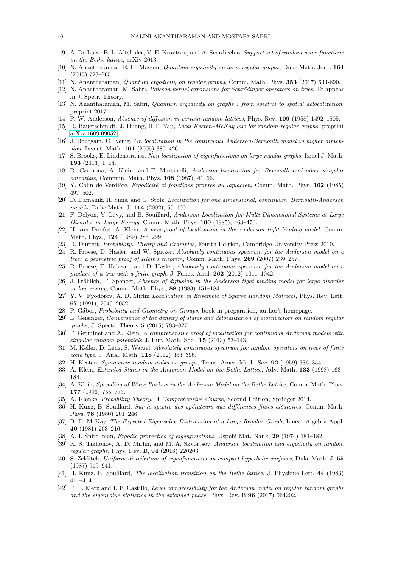- <span id="page-9-28"></span><span id="page-9-19"></span>[9] A. De Luca, B. L. Altshuler, V. E. Kravtsov, and A. Scardicchio, Support set of random wave-functions on the Bethe lattice, arXiv 2013.
- <span id="page-9-20"></span>[10] N. Anantharaman, E. Le Masson, Quantum ergodicity on large regular graphs, Duke Math. Jour. 164 (2015) 723–765.
- <span id="page-9-33"></span>[11] N. Anantharaman, *Quantum ergodicity on regular graphs*, Comm. Math. Phys. **353** (2017) 633-690.
- <span id="page-9-26"></span>[12] N. Anantharaman, M. Sabri, *Poisson kernel expansions for Schrödinger operators on trees*. To appear in J. Spetr. Theory.
- [13] N. Anantharaman, M. Sabri, Quantum ergodicity on graphs : from spectral to spatial delocalization, preprint 2017.
- <span id="page-9-24"></span><span id="page-9-0"></span>[14] P. W. Anderson, Absence of diffusion in certain random lattices, Phys. Rev. 109 (1958) 1492–1505.
- <span id="page-9-7"></span>[15] R. Bauerschmidt, J. Huang, H.T. Yau, Local Kesten–McKay law for random regular graphs, preprint [arXiv:1609.09052.](http://arxiv.org/abs/1609.09052)
- <span id="page-9-18"></span>[16] J. Bourgain, C. Kenig, On localization in the continuous Anderson-Bernoulli model in higher dimension, Invent. Math. 161 (2005) 389–426.
- <span id="page-9-2"></span>[17] S. Brooks, E. Lindenstrauss, Non-localization of eigenfunctions on large regular graphs, Israel J. Math. 193 (2013) 1–14.
- [18] R. Carmona, A. Klein, and F. Martinelli, Anderson localization for Bernoulli and other singular potentials, Commun. Math. Phys. 108 (1987), 41–66.
- <span id="page-9-22"></span><span id="page-9-3"></span>[19] Y. Colin de Verdière, *Ergodicité et fonctions propres du laplacien*, Comm. Math. Phys. 102 (1985) 497–502.
- [20] D. Damanik, R. Sims, and G. Stolz, Localization for one dimensional, continuum, Bernoulli-Anderson models, Duke Math. J. 114 (2002), 59–100.
- <span id="page-9-6"></span><span id="page-9-5"></span>[21] F. Delyon, Y. Lévy, and B. Souillard, Anderson Localization for Multi-Dimensional Systems at Large Disorder or Large Energy, Comm. Math. Phys. 100 (1985), 463–470.
- [22] H. von Dreifus, A. Klein, A new proof of localization in the Anderson tight binding model, Comm. Math. Phys., 124 (1989) 285–299.
- <span id="page-9-31"></span><span id="page-9-12"></span>[23] R. Durrett, Probability. Theory and Examples, Fourth Edition, Cambridge University Press 2010.
- [24] R. Froese, D. Hasler, and W. Spitzer, Absolutely continuous spectrum for the Anderson model on a tree: a geometric proof of Klein's theorem, Comm. Math. Phys. **269** (2007) 239–257.
- <span id="page-9-14"></span>[25] R. Froese, F. Halasan, and D. Hasler, Absolutely continuous spectrum for the Anderson model on a product of a tree with a finite graph, J. Funct. Anal.  $262$  (2012) 1011–1042.
- <span id="page-9-4"></span>[26] J. Fröhlich, T. Spencer, Absence of diffusion in the Anderson tight binding model for large disorder or low energy, Comm. Math. Phys., 88 (1983) 151–184.
- <span id="page-9-27"></span>[27] Y. V. Fyodorov, A. D. Mirlin Localization in Ensemble of Sparse Random Matrices, Phys. Rev. Lett. 67 (1991), 2049–2052.
- <span id="page-9-25"></span><span id="page-9-15"></span>[28] P. Gábor, *Probability and Geometry on Groups*, book in preparation, author's homepage.
- [29] L. Geisinger, Convergence of the density of states and delocalization of eigenvectors on random regular graphs, J. Spectr. Theory 5 (2015) 783–827.
- <span id="page-9-8"></span>[30] F. Germinet and A. Klein, A comprehensive proof of localization for continuous Anderson models with singular random potentials J. Eur. Math. Soc., 15 (2013) 53–143.
- <span id="page-9-13"></span>[31] M. Keller, D. Lenz, S. Warzel, Absolutely continuous spectrum for random operators on trees of finite cone type, J. Anal. Math. 118 (2012) 363–396.
- <span id="page-9-16"></span><span id="page-9-9"></span>[32] H. Kesten, Symmetric random walks on groups, Trans. Amer. Math. Soc. 92 (1959) 336–354.
- <span id="page-9-10"></span>[33] A. Klein, *Extended States in the Anderson Model on the Bethe Lattice*, Adv. Math. **133** (1998) 163– 184.
- [34] A. Klein, Spreading of Wave Packets in the Anderson Model on the Bethe Lattice, Comm. Math. Phys. 177 (1996) 755–773.
- <span id="page-9-32"></span><span id="page-9-1"></span>[35] A. Klenke, Probability Theory. A Comprehensive Course, Second Edition, Springer 2014.
- [36] H. Kunz, B. Souillard, Sur le spectre des opérateurs aux différences finies aléatoires, Comm. Math. Phys. 78 (1980) 201–246.
- <span id="page-9-17"></span>[37] B. D. McKay, The Expected Eigenvalue Distribution of a Large Regular Graph, Linear Algebra Appl. 40 (1981) 203–216.
- <span id="page-9-29"></span><span id="page-9-21"></span>[38] A. I. Šnirel'man, *Ergodic properties of eigenfunctions*, Uspehi Mat. Nauk, **29** (1974) 181–182.
- [39] K. S. Tikhonov, A. D. Mirlin, and M. A. Skvortsov, Anderson localization and ergodicity on random regular graphs, Phys. Rev. B, 94 (2016) 220203.
- <span id="page-9-23"></span>[40] S. Zelditch, Uniform distribution of eigenfunctions on compact hyperbolic surfaces, Duke Math. J. 55 (1987) 919–941.
- <span id="page-9-30"></span><span id="page-9-11"></span>[41] H. Kunz, B. Souillard, The localization transition on the Bethe lattice, J. Physique Lett. 44 (1983) 411–414.
- [42] F. L. Metz and I. P. Castillo, Level compressibility for the Anderson model on regular random graphs and the eigenvalue statistics in the extended phase, Phys. Rev. B 96 (2017) 064202.